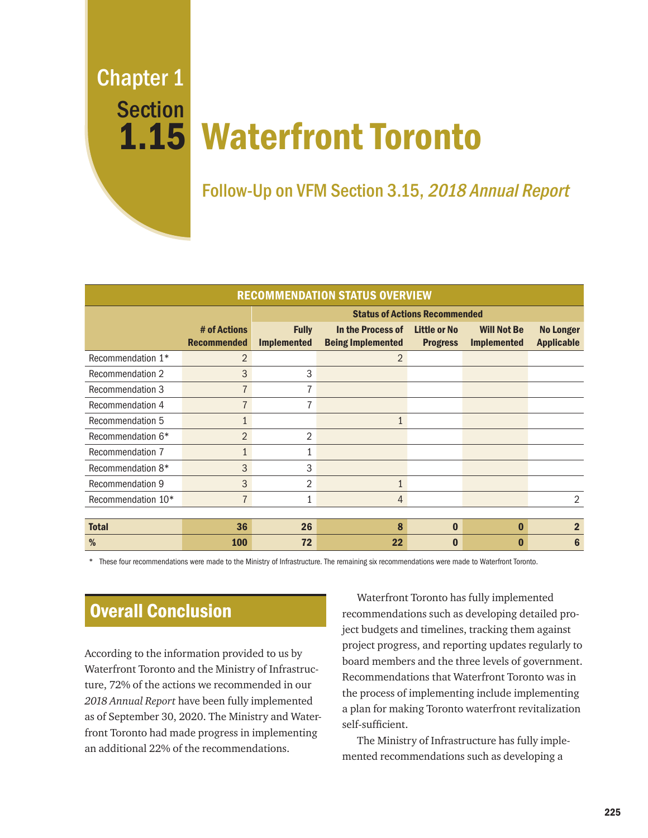Chapter 1 Section

# Waterfront Toronto 1.15

Follow-Up on VFM Section 3.15, 2018 Annual Report

| <b>RECOMMENDATION STATUS OVERVIEW</b> |                                    |                                      |                                               |                                        |                                          |                                       |
|---------------------------------------|------------------------------------|--------------------------------------|-----------------------------------------------|----------------------------------------|------------------------------------------|---------------------------------------|
|                                       |                                    | <b>Status of Actions Recommended</b> |                                               |                                        |                                          |                                       |
|                                       | # of Actions<br><b>Recommended</b> | <b>Fully</b><br><b>Implemented</b>   | In the Process of<br><b>Being Implemented</b> | <b>Little or No</b><br><b>Progress</b> | <b>Will Not Be</b><br><b>Implemented</b> | <b>No Longer</b><br><b>Applicable</b> |
| Recommendation 1*                     | $\overline{2}$                     |                                      | $\overline{2}$                                |                                        |                                          |                                       |
| Recommendation 2                      | 3                                  | 3                                    |                                               |                                        |                                          |                                       |
| Recommendation 3                      | 7                                  |                                      |                                               |                                        |                                          |                                       |
| Recommendation 4                      | $\overline{7}$                     | 7                                    |                                               |                                        |                                          |                                       |
| Recommendation 5                      | $\mathbf{1}$                       |                                      | 1                                             |                                        |                                          |                                       |
| Recommendation 6*                     | 2                                  | $\overline{2}$                       |                                               |                                        |                                          |                                       |
| Recommendation 7                      | $\mathbf{1}$                       |                                      |                                               |                                        |                                          |                                       |
| Recommendation 8*                     | 3                                  | 3                                    |                                               |                                        |                                          |                                       |
| Recommendation 9                      | 3                                  | 2                                    |                                               |                                        |                                          |                                       |
| Recommendation 10*                    | $\overline{7}$                     | 1                                    | $\overline{4}$                                |                                        |                                          | 2                                     |
|                                       |                                    |                                      |                                               |                                        |                                          |                                       |
| <b>Total</b>                          | 36                                 | 26                                   | 8                                             | $\bf{0}$                               | $\bf{0}$                                 | $\overline{2}$                        |
| %                                     | 100                                | 72                                   | 22                                            | $\bf{0}$                               | 0                                        | 6                                     |

These four recommendations were made to the Ministry of Infrastructure. The remaining six recommendations were made to Waterfront Toronto.

# Overall Conclusion

According to the information provided to us by Waterfront Toronto and the Ministry of Infrastructure, 72% of the actions we recommended in our *2018 Annual Report* have been fully implemented as of September 30, 2020. The Ministry and Waterfront Toronto had made progress in implementing an additional 22% of the recommendations.

Waterfront Toronto has fully implemented recommendations such as developing detailed project budgets and timelines, tracking them against project progress, and reporting updates regularly to board members and the three levels of government. Recommendations that Waterfront Toronto was in the process of implementing include implementing a plan for making Toronto waterfront revitalization self-sufficient.

The Ministry of Infrastructure has fully implemented recommendations such as developing a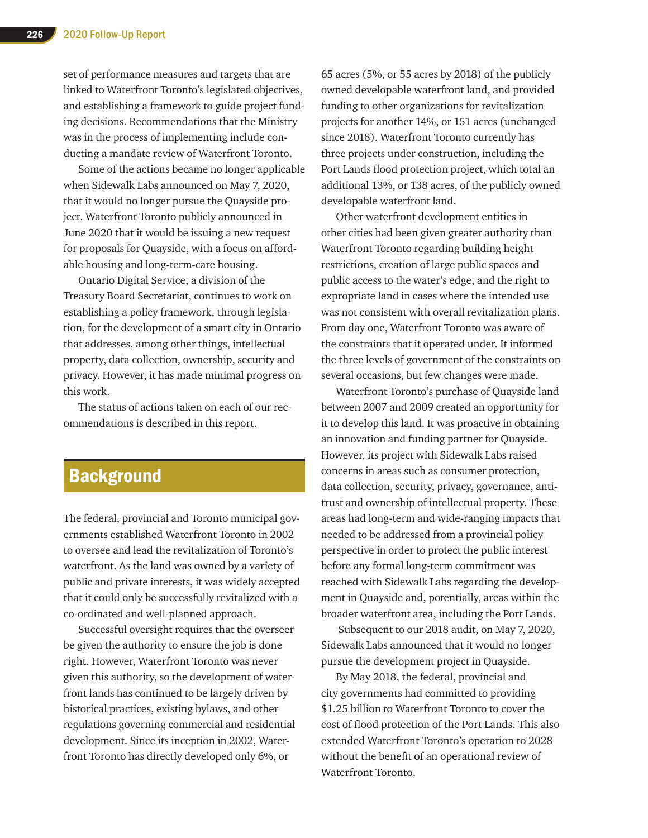set of performance measures and targets that are linked to Waterfront Toronto's legislated objectives, and establishing a framework to guide project funding decisions. Recommendations that the Ministry was in the process of implementing include conducting a mandate review of Waterfront Toronto.

Some of the actions became no longer applicable when Sidewalk Labs announced on May 7, 2020, that it would no longer pursue the Quayside project. Waterfront Toronto publicly announced in June 2020 that it would be issuing a new request for proposals for Quayside, with a focus on affordable housing and long-term-care housing.

Ontario Digital Service, a division of the Treasury Board Secretariat, continues to work on establishing a policy framework, through legislation, for the development of a smart city in Ontario that addresses, among other things, intellectual property, data collection, ownership, security and privacy. However, it has made minimal progress on this work.

The status of actions taken on each of our recommendations is described in this report.

# **Background**

The federal, provincial and Toronto municipal governments established Waterfront Toronto in 2002 to oversee and lead the revitalization of Toronto's waterfront. As the land was owned by a variety of public and private interests, it was widely accepted that it could only be successfully revitalized with a co-ordinated and well-planned approach.

Successful oversight requires that the overseer be given the authority to ensure the job is done right. However, Waterfront Toronto was never given this authority, so the development of waterfront lands has continued to be largely driven by historical practices, existing bylaws, and other regulations governing commercial and residential development. Since its inception in 2002, Waterfront Toronto has directly developed only 6%, or

65 acres (5%, or 55 acres by 2018) of the publicly owned developable waterfront land, and provided funding to other organizations for revitalization projects for another 14%, or 151 acres (unchanged since 2018). Waterfront Toronto currently has three projects under construction, including the Port Lands flood protection project, which total an additional 13%, or 138 acres, of the publicly owned developable waterfront land.

Other waterfront development entities in other cities had been given greater authority than Waterfront Toronto regarding building height restrictions, creation of large public spaces and public access to the water's edge, and the right to expropriate land in cases where the intended use was not consistent with overall revitalization plans. From day one, Waterfront Toronto was aware of the constraints that it operated under. It informed the three levels of government of the constraints on several occasions, but few changes were made.

Waterfront Toronto's purchase of Quayside land between 2007 and 2009 created an opportunity for it to develop this land. It was proactive in obtaining an innovation and funding partner for Quayside. However, its project with Sidewalk Labs raised concerns in areas such as consumer protection, data collection, security, privacy, governance, antitrust and ownership of intellectual property. These areas had long-term and wide-ranging impacts that needed to be addressed from a provincial policy perspective in order to protect the public interest before any formal long-term commitment was reached with Sidewalk Labs regarding the development in Quayside and, potentially, areas within the broader waterfront area, including the Port Lands.

 Subsequent to our 2018 audit, on May 7, 2020, Sidewalk Labs announced that it would no longer pursue the development project in Quayside.

By May 2018, the federal, provincial and city governments had committed to providing \$1.25 billion to Waterfront Toronto to cover the cost of flood protection of the Port Lands. This also extended Waterfront Toronto's operation to 2028 without the benefit of an operational review of Waterfront Toronto.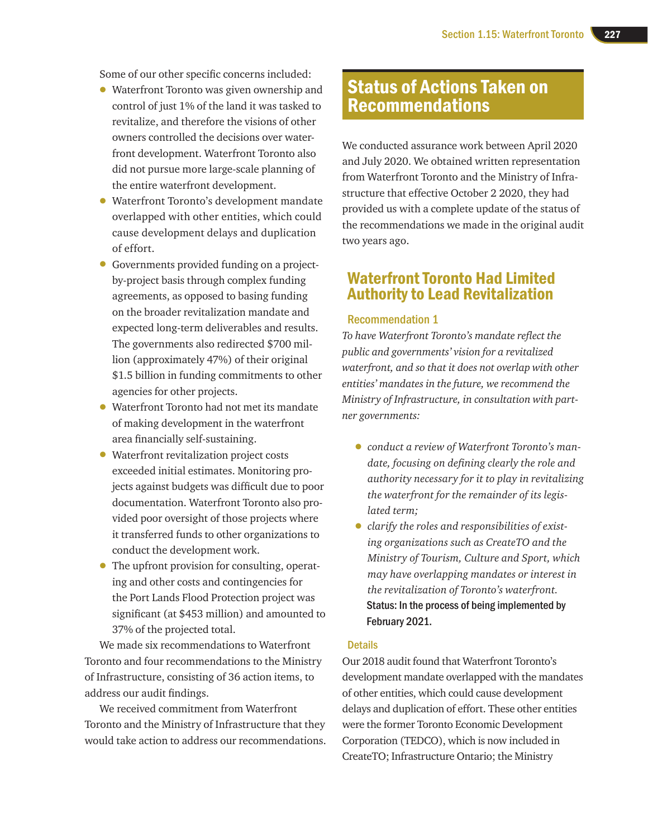Some of our other specific concerns included:

- Waterfront Toronto was given ownership and control of just 1% of the land it was tasked to revitalize, and therefore the visions of other owners controlled the decisions over waterfront development. Waterfront Toronto also did not pursue more large-scale planning of the entire waterfront development.
- Waterfront Toronto's development mandate overlapped with other entities, which could cause development delays and duplication of effort.
- Governments provided funding on a projectby-project basis through complex funding agreements, as opposed to basing funding on the broader revitalization mandate and expected long-term deliverables and results. The governments also redirected \$700 million (approximately 47%) of their original \$1.5 billion in funding commitments to other agencies for other projects.
- Waterfront Toronto had not met its mandate of making development in the waterfront area financially self-sustaining.
- Waterfront revitalization project costs exceeded initial estimates. Monitoring projects against budgets was difficult due to poor documentation. Waterfront Toronto also provided poor oversight of those projects where it transferred funds to other organizations to conduct the development work.
- The upfront provision for consulting, operating and other costs and contingencies for the Port Lands Flood Protection project was significant (at \$453 million) and amounted to 37% of the projected total.

We made six recommendations to Waterfront Toronto and four recommendations to the Ministry of Infrastructure, consisting of 36 action items, to address our audit findings.

We received commitment from Waterfront Toronto and the Ministry of Infrastructure that they would take action to address our recommendations.

# Status of Actions Taken on Recommendations

We conducted assurance work between April 2020 and July 2020. We obtained written representation from Waterfront Toronto and the Ministry of Infrastructure that effective October 2 2020, they had provided us with a complete update of the status of the recommendations we made in the original audit two years ago.

## Waterfront Toronto Had Limited Authority to Lead Revitalization

#### Recommendation 1

*To have Waterfront Toronto's mandate reflect the public and governments' vision for a revitalized waterfront, and so that it does not overlap with other entities' mandates in the future, we recommend the Ministry of Infrastructure, in consultation with partner governments:*

- *conduct a review of Waterfront Toronto's mandate, focusing on defining clearly the role and authority necessary for it to play in revitalizing the waterfront for the remainder of its legislated term;*
- *clarify the roles and responsibilities of existing organizations such as CreateTO and the Ministry of Tourism, Culture and Sport, which may have overlapping mandates or interest in the revitalization of Toronto's waterfront.*  Status: In the process of being implemented by February 2021.

#### **Details**

Our 2018 audit found that Waterfront Toronto's development mandate overlapped with the mandates of other entities, which could cause development delays and duplication of effort. These other entities were the former Toronto Economic Development Corporation (TEDCO), which is now included in CreateTO; Infrastructure Ontario; the Ministry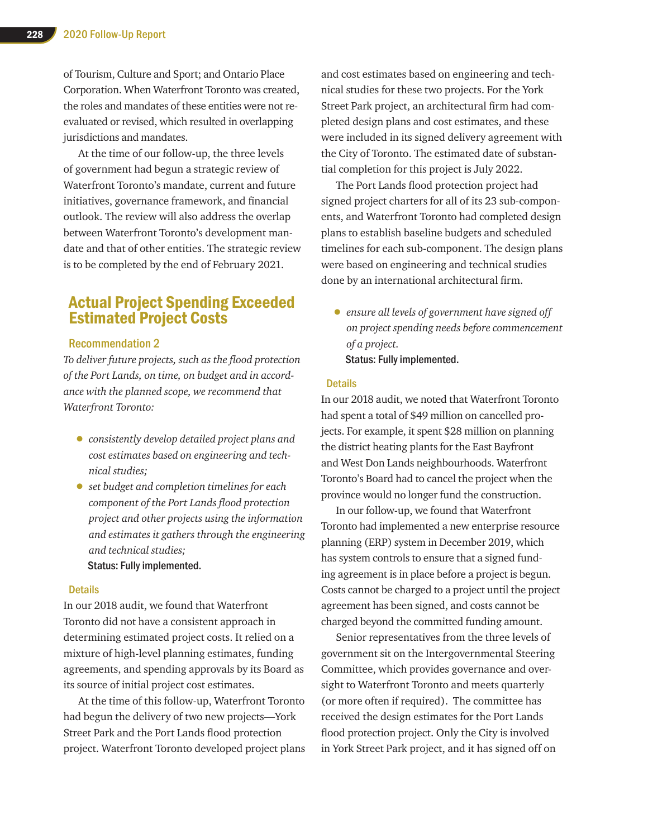of Tourism, Culture and Sport; and Ontario Place Corporation. When Waterfront Toronto was created, the roles and mandates of these entities were not reevaluated or revised, which resulted in overlapping jurisdictions and mandates.

At the time of our follow-up, the three levels of government had begun a strategic review of Waterfront Toronto's mandate, current and future initiatives, governance framework, and financial outlook. The review will also address the overlap between Waterfront Toronto's development mandate and that of other entities. The strategic review is to be completed by the end of February 2021.

## Actual Project Spending Exceeded Estimated Project Costs

#### Recommendation 2

*To deliver future projects, such as the flood protection of the Port Lands, on time, on budget and in accordance with the planned scope, we recommend that Waterfront Toronto:*

- *consistently develop detailed project plans and cost estimates based on engineering and technical studies;*
- *set budget and completion timelines for each component of the Port Lands flood protection project and other projects using the information and estimates it gathers through the engineering and technical studies;*

#### Status: Fully implemented.

#### **Details**

In our 2018 audit, we found that Waterfront Toronto did not have a consistent approach in determining estimated project costs. It relied on a mixture of high-level planning estimates, funding agreements, and spending approvals by its Board as its source of initial project cost estimates.

At the time of this follow-up, Waterfront Toronto had begun the delivery of two new projects—York Street Park and the Port Lands flood protection project. Waterfront Toronto developed project plans and cost estimates based on engineering and technical studies for these two projects. For the York Street Park project, an architectural firm had completed design plans and cost estimates, and these were included in its signed delivery agreement with the City of Toronto. The estimated date of substantial completion for this project is July 2022.

The Port Lands flood protection project had signed project charters for all of its 23 sub-components, and Waterfront Toronto had completed design plans to establish baseline budgets and scheduled timelines for each sub-component. The design plans were based on engineering and technical studies done by an international architectural firm.

• *ensure all levels of government have signed off on project spending needs before commencement of a project.* Status: Fully implemented.

#### **Details**

In our 2018 audit, we noted that Waterfront Toronto had spent a total of \$49 million on cancelled projects. For example, it spent \$28 million on planning the district heating plants for the East Bayfront and West Don Lands neighbourhoods. Waterfront Toronto's Board had to cancel the project when the province would no longer fund the construction.

In our follow-up, we found that Waterfront Toronto had implemented a new enterprise resource planning (ERP) system in December 2019, which has system controls to ensure that a signed funding agreement is in place before a project is begun. Costs cannot be charged to a project until the project agreement has been signed, and costs cannot be charged beyond the committed funding amount.

Senior representatives from the three levels of government sit on the Intergovernmental Steering Committee, which provides governance and oversight to Waterfront Toronto and meets quarterly (or more often if required). The committee has received the design estimates for the Port Lands flood protection project. Only the City is involved in York Street Park project, and it has signed off on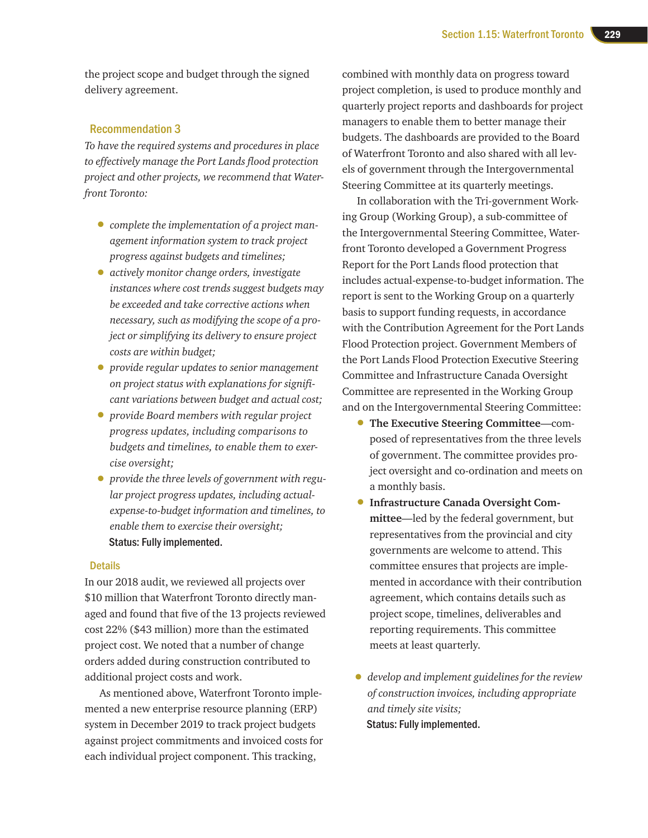the project scope and budget through the signed delivery agreement.

#### Recommendation 3

*To have the required systems and procedures in place to effectively manage the Port Lands flood protection project and other projects, we recommend that Waterfront Toronto:*

- *complete the implementation of a project management information system to track project progress against budgets and timelines;*
- *actively monitor change orders, investigate instances where cost trends suggest budgets may be exceeded and take corrective actions when necessary, such as modifying the scope of a project or simplifying its delivery to ensure project costs are within budget;*
- *provide regular updates to senior management on project status with explanations for significant variations between budget and actual cost;*
- *provide Board members with regular project progress updates, including comparisons to budgets and timelines, to enable them to exercise oversight;*
- *provide the three levels of government with regular project progress updates, including actualexpense-to-budget information and timelines, to enable them to exercise their oversight;* Status: Fully implemented.

#### **Details**

In our 2018 audit, we reviewed all projects over \$10 million that Waterfront Toronto directly managed and found that five of the 13 projects reviewed cost 22% (\$43 million) more than the estimated project cost. We noted that a number of change orders added during construction contributed to additional project costs and work.

As mentioned above, Waterfront Toronto implemented a new enterprise resource planning (ERP) system in December 2019 to track project budgets against project commitments and invoiced costs for each individual project component. This tracking,

combined with monthly data on progress toward project completion, is used to produce monthly and quarterly project reports and dashboards for project managers to enable them to better manage their budgets. The dashboards are provided to the Board of Waterfront Toronto and also shared with all levels of government through the Intergovernmental Steering Committee at its quarterly meetings.

In collaboration with the Tri-government Working Group (Working Group), a sub-committee of the Intergovernmental Steering Committee, Waterfront Toronto developed a Government Progress Report for the Port Lands flood protection that includes actual-expense-to-budget information. The report is sent to the Working Group on a quarterly basis to support funding requests, in accordance with the Contribution Agreement for the Port Lands Flood Protection project. Government Members of the Port Lands Flood Protection Executive Steering Committee and Infrastructure Canada Oversight Committee are represented in the Working Group and on the Intergovernmental Steering Committee:

- **The Executive Steering Committee**—composed of representatives from the three levels of government. The committee provides project oversight and co-ordination and meets on a monthly basis.
- **Infrastructure Canada Oversight Committee**—led by the federal government, but representatives from the provincial and city governments are welcome to attend. This committee ensures that projects are implemented in accordance with their contribution agreement, which contains details such as project scope, timelines, deliverables and reporting requirements. This committee meets at least quarterly.
- *develop and implement guidelines for the review of construction invoices, including appropriate and timely site visits;* Status: Fully implemented.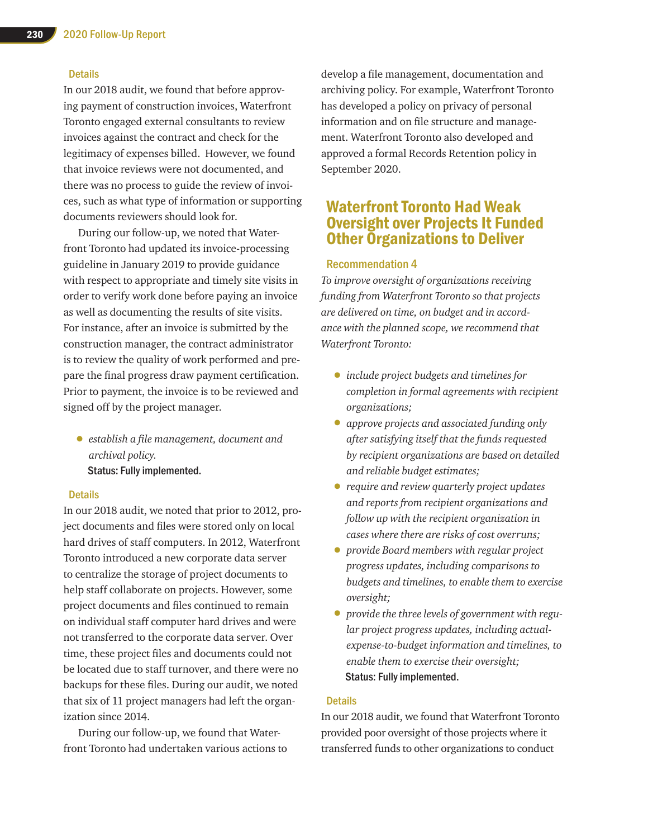#### **Details**

In our 2018 audit, we found that before approving payment of construction invoices, Waterfront Toronto engaged external consultants to review invoices against the contract and check for the legitimacy of expenses billed. However, we found that invoice reviews were not documented, and there was no process to guide the review of invoices, such as what type of information or supporting documents reviewers should look for.

During our follow-up, we noted that Waterfront Toronto had updated its invoice-processing guideline in January 2019 to provide guidance with respect to appropriate and timely site visits in order to verify work done before paying an invoice as well as documenting the results of site visits. For instance, after an invoice is submitted by the construction manager, the contract administrator is to review the quality of work performed and prepare the final progress draw payment certification. Prior to payment, the invoice is to be reviewed and signed off by the project manager.

• *establish a file management, document and archival policy.* Status: Fully implemented.

#### **Details**

In our 2018 audit, we noted that prior to 2012, project documents and files were stored only on local hard drives of staff computers. In 2012, Waterfront Toronto introduced a new corporate data server to centralize the storage of project documents to help staff collaborate on projects. However, some project documents and files continued to remain on individual staff computer hard drives and were not transferred to the corporate data server. Over time, these project files and documents could not be located due to staff turnover, and there were no backups for these files. During our audit, we noted that six of 11 project managers had left the organization since 2014.

During our follow-up, we found that Waterfront Toronto had undertaken various actions to develop a file management, documentation and archiving policy. For example, Waterfront Toronto has developed a policy on privacy of personal information and on file structure and management. Waterfront Toronto also developed and approved a formal Records Retention policy in September 2020.

## Waterfront Toronto Had Weak Oversight over Projects It Funded Other Organizations to Deliver

#### Recommendation 4

*To improve oversight of organizations receiving funding from Waterfront Toronto so that projects are delivered on time, on budget and in accordance with the planned scope, we recommend that Waterfront Toronto:*

- *include project budgets and timelines for completion in formal agreements with recipient organizations;*
- *approve projects and associated funding only after satisfying itself that the funds requested by recipient organizations are based on detailed and reliable budget estimates;*
- *require and review quarterly project updates and reports from recipient organizations and follow up with the recipient organization in cases where there are risks of cost overruns;*
- *provide Board members with regular project progress updates, including comparisons to budgets and timelines, to enable them to exercise oversight;*
- *provide the three levels of government with regular project progress updates, including actualexpense-to-budget information and timelines, to enable them to exercise their oversight;* Status: Fully implemented.

#### **Details**

In our 2018 audit, we found that Waterfront Toronto provided poor oversight of those projects where it transferred funds to other organizations to conduct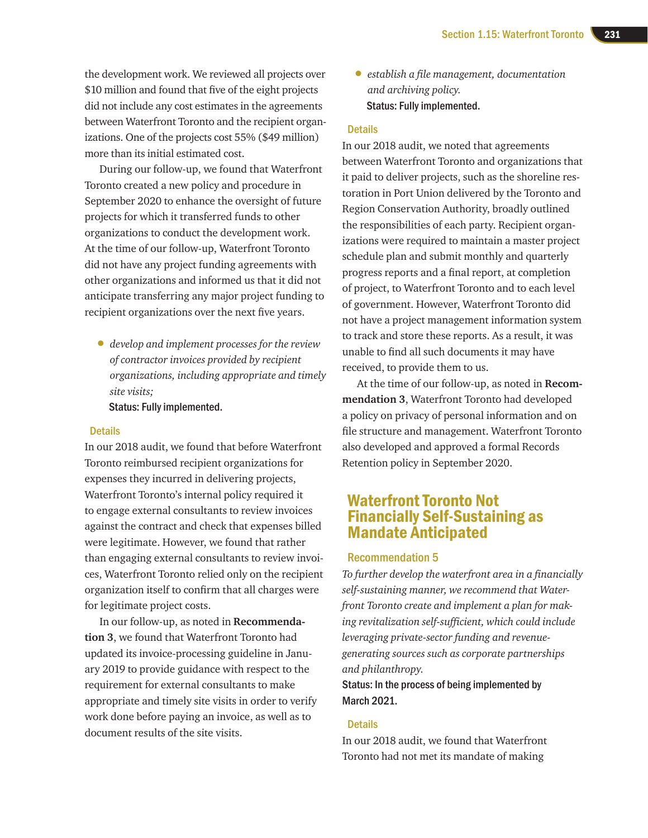the development work. We reviewed all projects over \$10 million and found that five of the eight projects did not include any cost estimates in the agreements between Waterfront Toronto and the recipient organizations. One of the projects cost 55% (\$49 million) more than its initial estimated cost.

During our follow-up, we found that Waterfront Toronto created a new policy and procedure in September 2020 to enhance the oversight of future projects for which it transferred funds to other organizations to conduct the development work. At the time of our follow-up, Waterfront Toronto did not have any project funding agreements with other organizations and informed us that it did not anticipate transferring any major project funding to recipient organizations over the next five years.

• *develop and implement processes for the review of contractor invoices provided by recipient organizations, including appropriate and timely site visits;*

Status: Fully implemented.

#### **Details**

In our 2018 audit, we found that before Waterfront Toronto reimbursed recipient organizations for expenses they incurred in delivering projects, Waterfront Toronto's internal policy required it to engage external consultants to review invoices against the contract and check that expenses billed were legitimate. However, we found that rather than engaging external consultants to review invoices, Waterfront Toronto relied only on the recipient organization itself to confirm that all charges were for legitimate project costs.

In our follow-up, as noted in **Recommendation 3**, we found that Waterfront Toronto had updated its invoice-processing guideline in January 2019 to provide guidance with respect to the requirement for external consultants to make appropriate and timely site visits in order to verify work done before paying an invoice, as well as to document results of the site visits.

• *establish a file management, documentation and archiving policy.* Status: Fully implemented.

#### **Details**

In our 2018 audit, we noted that agreements between Waterfront Toronto and organizations that it paid to deliver projects, such as the shoreline restoration in Port Union delivered by the Toronto and Region Conservation Authority, broadly outlined the responsibilities of each party. Recipient organizations were required to maintain a master project schedule plan and submit monthly and quarterly progress reports and a final report, at completion of project, to Waterfront Toronto and to each level of government. However, Waterfront Toronto did not have a project management information system to track and store these reports. As a result, it was unable to find all such documents it may have received, to provide them to us.

At the time of our follow-up, as noted in **Recommendation 3**, Waterfront Toronto had developed a policy on privacy of personal information and on file structure and management. Waterfront Toronto also developed and approved a formal Records Retention policy in September 2020.

## Waterfront Toronto Not Financially Self-Sustaining as Mandate Anticipated

#### Recommendation 5

*To further develop the waterfront area in a financially self-sustaining manner, we recommend that Waterfront Toronto create and implement a plan for making revitalization self-sufficient, which could include leveraging private-sector funding and revenuegenerating sources such as corporate partnerships and philanthropy.*

#### Status: In the process of being implemented by March 2021.

#### **Details**

In our 2018 audit, we found that Waterfront Toronto had not met its mandate of making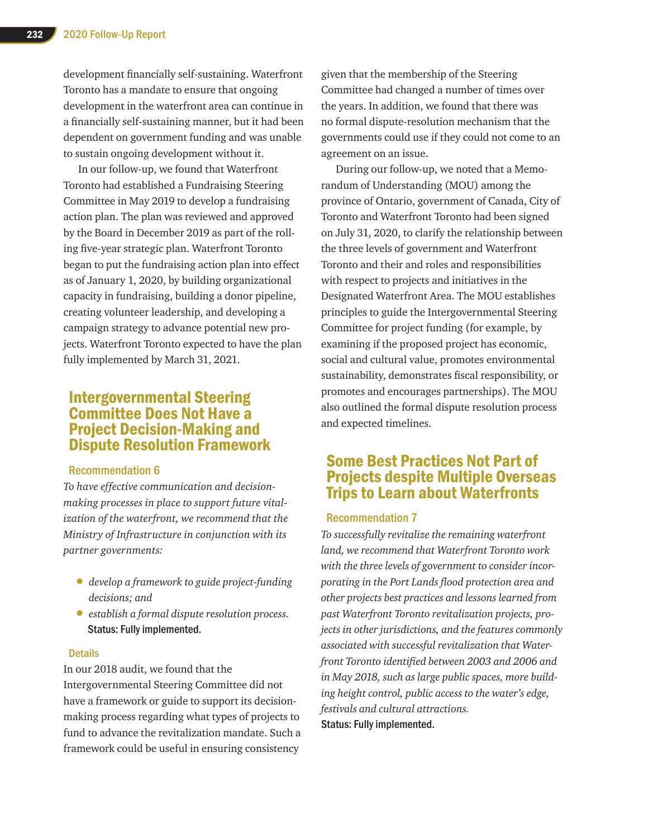development financially self-sustaining. Waterfront Toronto has a mandate to ensure that ongoing development in the waterfront area can continue in a financially self-sustaining manner, but it had been dependent on government funding and was unable to sustain ongoing development without it.

In our follow-up, we found that Waterfront Toronto had established a Fundraising Steering Committee in May 2019 to develop a fundraising action plan. The plan was reviewed and approved by the Board in December 2019 as part of the rolling five-year strategic plan. Waterfront Toronto began to put the fundraising action plan into effect as of January 1, 2020, by building organizational capacity in fundraising, building a donor pipeline, creating volunteer leadership, and developing a campaign strategy to advance potential new projects. Waterfront Toronto expected to have the plan fully implemented by March 31, 2021.

### Intergovernmental Steering Committee Does Not Have a Project Decision-Making and Dispute Resolution Framework

#### Recommendation 6

*To have effective communication and decisionmaking processes in place to support future vitalization of the waterfront, we recommend that the Ministry of Infrastructure in conjunction with its partner governments:*

- *develop a framework to guide project-funding decisions; and*
- *establish a formal dispute resolution process.* Status: Fully implemented.

#### **Details**

In our 2018 audit, we found that the Intergovernmental Steering Committee did not have a framework or guide to support its decisionmaking process regarding what types of projects to fund to advance the revitalization mandate. Such a framework could be useful in ensuring consistency

given that the membership of the Steering Committee had changed a number of times over the years. In addition, we found that there was no formal dispute-resolution mechanism that the governments could use if they could not come to an agreement on an issue.

During our follow-up, we noted that a Memorandum of Understanding (MOU) among the province of Ontario, government of Canada, City of Toronto and Waterfront Toronto had been signed on July 31, 2020, to clarify the relationship between the three levels of government and Waterfront Toronto and their and roles and responsibilities with respect to projects and initiatives in the Designated Waterfront Area. The MOU establishes principles to guide the Intergovernmental Steering Committee for project funding (for example, by examining if the proposed project has economic, social and cultural value, promotes environmental sustainability, demonstrates fiscal responsibility, or promotes and encourages partnerships). The MOU also outlined the formal dispute resolution process and expected timelines.

## Some Best Practices Not Part of Projects despite Multiple Overseas Trips to Learn about Waterfronts

#### Recommendation 7

*To successfully revitalize the remaining waterfront land, we recommend that Waterfront Toronto work with the three levels of government to consider incorporating in the Port Lands flood protection area and other projects best practices and lessons learned from past Waterfront Toronto revitalization projects, projects in other jurisdictions, and the features commonly associated with successful revitalization that Waterfront Toronto identified between 2003 and 2006 and in May 2018, such as large public spaces, more building height control, public access to the water's edge, festivals and cultural attractions.* Status: Fully implemented.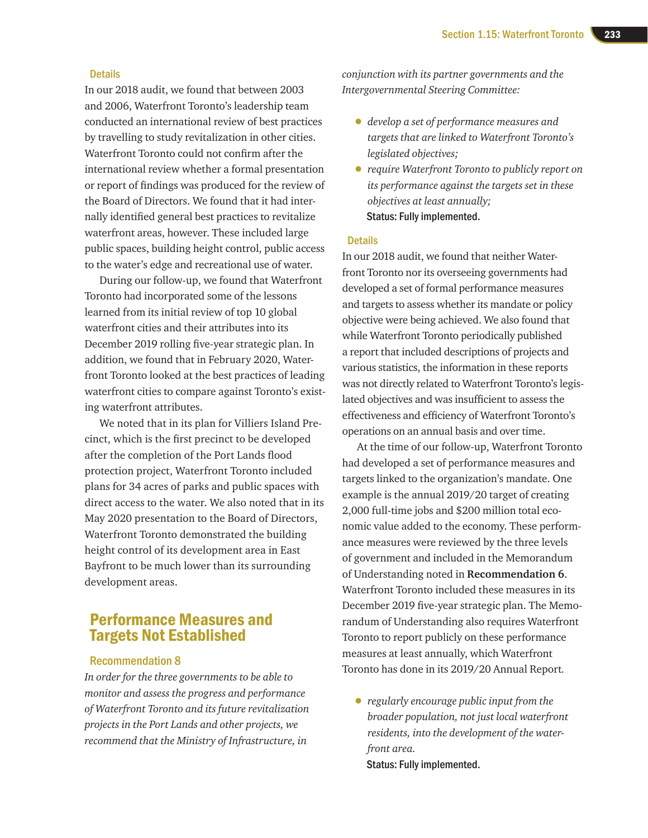#### **Details**

In our 2018 audit, we found that between 2003 and 2006, Waterfront Toronto's leadership team conducted an international review of best practices by travelling to study revitalization in other cities. Waterfront Toronto could not confirm after the international review whether a formal presentation or report of findings was produced for the review of the Board of Directors. We found that it had internally identified general best practices to revitalize waterfront areas, however. These included large public spaces, building height control, public access to the water's edge and recreational use of water.

During our follow-up, we found that Waterfront Toronto had incorporated some of the lessons learned from its initial review of top 10 global waterfront cities and their attributes into its December 2019 rolling five-year strategic plan. In addition, we found that in February 2020, Waterfront Toronto looked at the best practices of leading waterfront cities to compare against Toronto's existing waterfront attributes.

We noted that in its plan for Villiers Island Precinct, which is the first precinct to be developed after the completion of the Port Lands flood protection project, Waterfront Toronto included plans for 34 acres of parks and public spaces with direct access to the water. We also noted that in its May 2020 presentation to the Board of Directors, Waterfront Toronto demonstrated the building height control of its development area in East Bayfront to be much lower than its surrounding development areas.

## Performance Measures and Targets Not Established

#### Recommendation 8

*In order for the three governments to be able to monitor and assess the progress and performance of Waterfront Toronto and its future revitalization projects in the Port Lands and other projects, we recommend that the Ministry of Infrastructure, in* 

*conjunction with its partner governments and the Intergovernmental Steering Committee:*

- *develop a set of performance measures and targets that are linked to Waterfront Toronto's legislated objectives;*
- *require Waterfront Toronto to publicly report on its performance against the targets set in these objectives at least annually;*  Status: Fully implemented.

#### **Details**

In our 2018 audit, we found that neither Waterfront Toronto nor its overseeing governments had developed a set of formal performance measures and targets to assess whether its mandate or policy objective were being achieved. We also found that while Waterfront Toronto periodically published a report that included descriptions of projects and various statistics, the information in these reports was not directly related to Waterfront Toronto's legislated objectives and was insufficient to assess the effectiveness and efficiency of Waterfront Toronto's operations on an annual basis and over time.

At the time of our follow-up, Waterfront Toronto had developed a set of performance measures and targets linked to the organization's mandate. One example is the annual 2019/20 target of creating 2,000 full-time jobs and \$200 million total economic value added to the economy. These performance measures were reviewed by the three levels of government and included in the Memorandum of Understanding noted in **Recommendation 6**. Waterfront Toronto included these measures in its December 2019 five-year strategic plan. The Memorandum of Understanding also requires Waterfront Toronto to report publicly on these performance measures at least annually, which Waterfront Toronto has done in its 2019/20 Annual Report*.*

• *regularly encourage public input from the broader population, not just local waterfront residents, into the development of the waterfront area.*  Status: Fully implemented.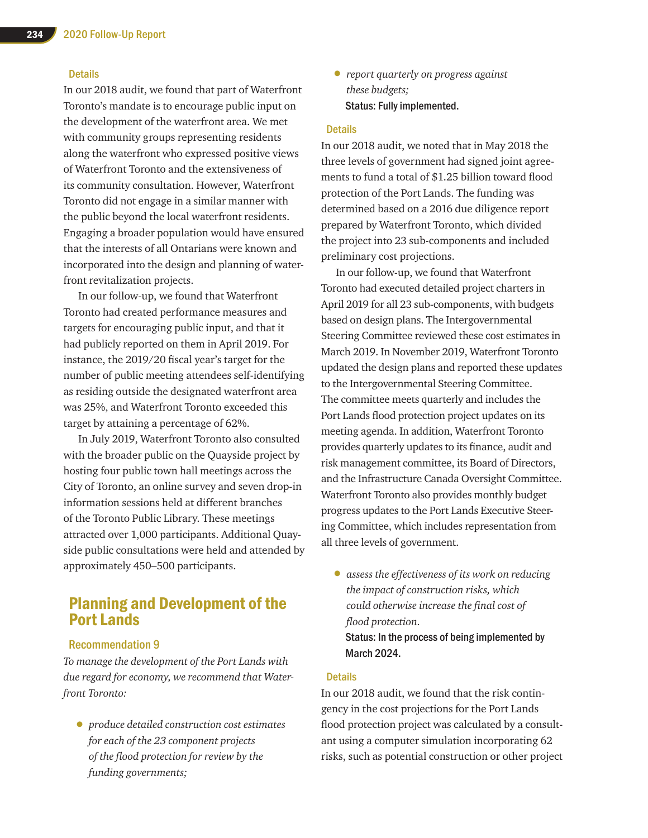#### **Details**

In our 2018 audit, we found that part of Waterfront Toronto's mandate is to encourage public input on the development of the waterfront area. We met with community groups representing residents along the waterfront who expressed positive views of Waterfront Toronto and the extensiveness of its community consultation. However, Waterfront Toronto did not engage in a similar manner with the public beyond the local waterfront residents. Engaging a broader population would have ensured that the interests of all Ontarians were known and incorporated into the design and planning of waterfront revitalization projects.

In our follow-up, we found that Waterfront Toronto had created performance measures and targets for encouraging public input, and that it had publicly reported on them in April 2019. For instance, the 2019/20 fiscal year's target for the number of public meeting attendees self-identifying as residing outside the designated waterfront area was 25%, and Waterfront Toronto exceeded this target by attaining a percentage of 62%.

In July 2019, Waterfront Toronto also consulted with the broader public on the Quayside project by hosting four public town hall meetings across the City of Toronto, an online survey and seven drop-in information sessions held at different branches of the Toronto Public Library. These meetings attracted over 1,000 participants. Additional Quayside public consultations were held and attended by approximately 450–500 participants.

## Planning and Development of the Port Lands

#### Recommendation 9

*To manage the development of the Port Lands with due regard for economy, we recommend that Waterfront Toronto:*

• *produce detailed construction cost estimates for each of the 23 component projects of the flood protection for review by the funding governments;*

• *report quarterly on progress against these budgets;* Status: Fully implemented.

#### **Details**

In our 2018 audit, we noted that in May 2018 the three levels of government had signed joint agreements to fund a total of \$1.25 billion toward flood protection of the Port Lands. The funding was determined based on a 2016 due diligence report prepared by Waterfront Toronto, which divided the project into 23 sub-components and included preliminary cost projections.

In our follow-up, we found that Waterfront Toronto had executed detailed project charters in April 2019 for all 23 sub-components, with budgets based on design plans. The Intergovernmental Steering Committee reviewed these cost estimates in March 2019. In November 2019, Waterfront Toronto updated the design plans and reported these updates to the Intergovernmental Steering Committee. The committee meets quarterly and includes the Port Lands flood protection project updates on its meeting agenda. In addition, Waterfront Toronto provides quarterly updates to its finance, audit and risk management committee, its Board of Directors, and the Infrastructure Canada Oversight Committee. Waterfront Toronto also provides monthly budget progress updates to the Port Lands Executive Steering Committee, which includes representation from all three levels of government.

• *assess the effectiveness of its work on reducing the impact of construction risks, which could otherwise increase the final cost of flood protection.* Status: In the process of being implemented by March 2024.

#### **Details**

In our 2018 audit, we found that the risk contingency in the cost projections for the Port Lands flood protection project was calculated by a consultant using a computer simulation incorporating 62 risks, such as potential construction or other project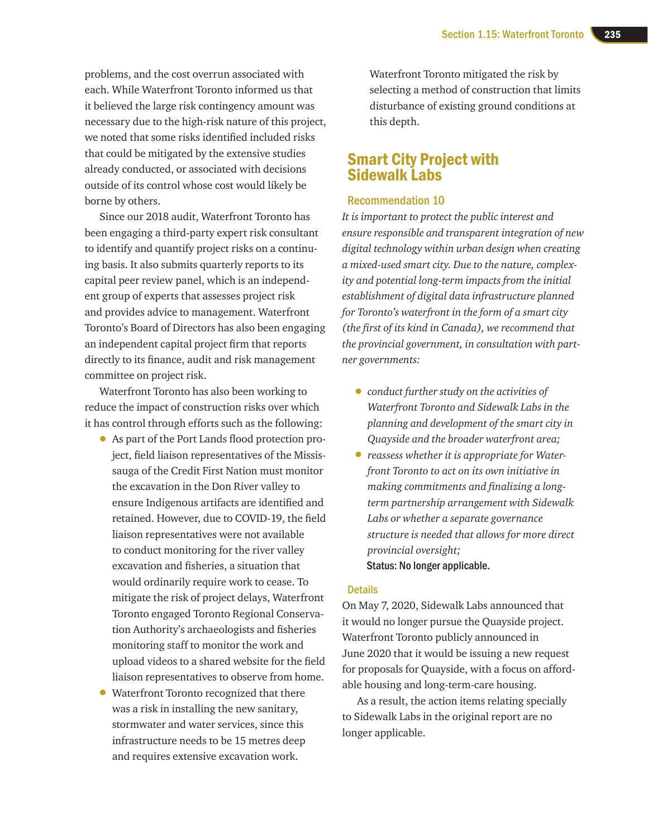problems, and the cost overrun associated with each. While Waterfront Toronto informed us that it believed the large risk contingency amount was necessary due to the high-risk nature of this project, we noted that some risks identified included risks that could be mitigated by the extensive studies already conducted, or associated with decisions outside of its control whose cost would likely be borne by others.

Since our 2018 audit, Waterfront Toronto has been engaging a third-party expert risk consultant to identify and quantify project risks on a continuing basis. It also submits quarterly reports to its capital peer review panel, which is an independent group of experts that assesses project risk and provides advice to management. Waterfront Toronto's Board of Directors has also been engaging an independent capital project firm that reports directly to its finance, audit and risk management committee on project risk.

Waterfront Toronto has also been working to reduce the impact of construction risks over which it has control through efforts such as the following:

- As part of the Port Lands flood protection project, field liaison representatives of the Mississauga of the Credit First Nation must monitor the excavation in the Don River valley to ensure Indigenous artifacts are identified and retained. However, due to COVID-19, the field liaison representatives were not available to conduct monitoring for the river valley excavation and fisheries, a situation that would ordinarily require work to cease. To mitigate the risk of project delays, Waterfront Toronto engaged Toronto Regional Conservation Authority's archaeologists and fisheries monitoring staff to monitor the work and upload videos to a shared website for the field liaison representatives to observe from home.
- Waterfront Toronto recognized that there was a risk in installing the new sanitary, stormwater and water services, since this infrastructure needs to be 15 metres deep and requires extensive excavation work.

Waterfront Toronto mitigated the risk by selecting a method of construction that limits disturbance of existing ground conditions at this depth.

## Smart City Project with Sidewalk Labs

#### Recommendation 10

*It is important to protect the public interest and ensure responsible and transparent integration of new digital technology within urban design when creating a mixed-used smart city. Due to the nature, complexity and potential long-term impacts from the initial establishment of digital data infrastructure planned for Toronto's waterfront in the form of a smart city (the first of its kind in Canada), we recommend that the provincial government, in consultation with partner governments:*

- *conduct further study on the activities of Waterfront Toronto and Sidewalk Labs in the planning and development of the smart city in Quayside and the broader waterfront area;*
- *reassess whether it is appropriate for Waterfront Toronto to act on its own initiative in making commitments and finalizing a longterm partnership arrangement with Sidewalk Labs or whether a separate governance structure is needed that allows for more direct provincial oversight;* Status: No longer applicable.

#### **Details**

On May 7, 2020, Sidewalk Labs announced that it would no longer pursue the Quayside project. Waterfront Toronto publicly announced in June 2020 that it would be issuing a new request for proposals for Quayside, with a focus on affordable housing and long-term-care housing.

As a result, the action items relating specially to Sidewalk Labs in the original report are no longer applicable.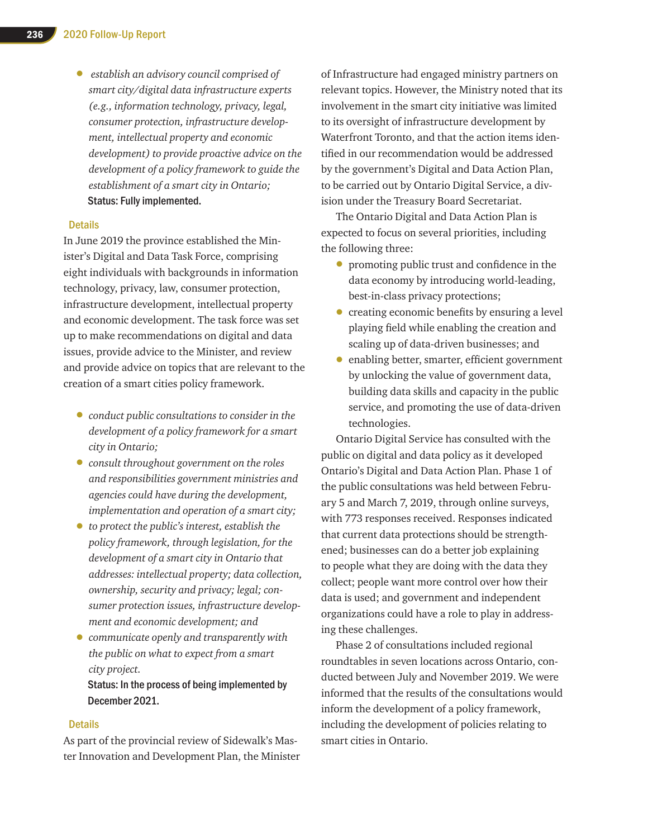• *establish an advisory council comprised of smart city/digital data infrastructure experts (e.g., information technology, privacy, legal, consumer protection, infrastructure development, intellectual property and economic development) to provide proactive advice on the development of a policy framework to guide the establishment of a smart city in Ontario;* Status: Fully implemented.

#### **Details**

In June 2019 the province established the Minister's Digital and Data Task Force, comprising eight individuals with backgrounds in information technology, privacy, law, consumer protection, infrastructure development, intellectual property and economic development. The task force was set up to make recommendations on digital and data issues, provide advice to the Minister, and review and provide advice on topics that are relevant to the creation of a smart cities policy framework.

- *conduct public consultations to consider in the development of a policy framework for a smart city in Ontario;*
- *consult throughout government on the roles and responsibilities government ministries and agencies could have during the development, implementation and operation of a smart city;*
- *to protect the public's interest, establish the policy framework, through legislation, for the development of a smart city in Ontario that addresses: intellectual property; data collection, ownership, security and privacy; legal; consumer protection issues, infrastructure development and economic development; and*
- *communicate openly and transparently with the public on what to expect from a smart city project.*

Status: In the process of being implemented by December 2021.

#### **Details**

As part of the provincial review of Sidewalk's Master Innovation and Development Plan, the Minister of Infrastructure had engaged ministry partners on relevant topics. However, the Ministry noted that its involvement in the smart city initiative was limited to its oversight of infrastructure development by Waterfront Toronto, and that the action items identified in our recommendation would be addressed by the government's Digital and Data Action Plan, to be carried out by Ontario Digital Service, a division under the Treasury Board Secretariat.

The Ontario Digital and Data Action Plan is expected to focus on several priorities, including the following three:

- promoting public trust and confidence in the data economy by introducing world-leading, best-in-class privacy protections;
- creating economic benefits by ensuring a level playing field while enabling the creation and scaling up of data-driven businesses; and
- enabling better, smarter, efficient government by unlocking the value of government data, building data skills and capacity in the public service, and promoting the use of data-driven technologies.

Ontario Digital Service has consulted with the public on digital and data policy as it developed Ontario's Digital and Data Action Plan. Phase 1 of the public consultations was held between February 5 and March 7, 2019, through online surveys, with 773 responses received. Responses indicated that current data protections should be strengthened; businesses can do a better job explaining to people what they are doing with the data they collect; people want more control over how their data is used; and government and independent organizations could have a role to play in addressing these challenges.

Phase 2 of consultations included regional roundtables in seven locations across Ontario, conducted between July and November 2019. We were informed that the results of the consultations would inform the development of a policy framework, including the development of policies relating to smart cities in Ontario.